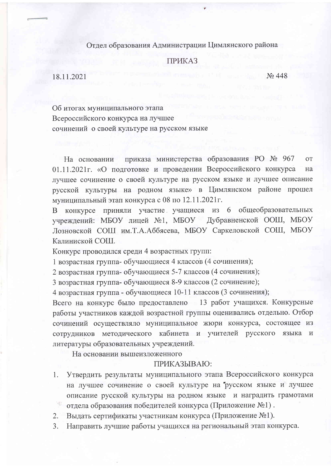## Отдел образования Администрации Цимлянского района

## **ПРИКАЗ**

18 11 2021

No 448

Об итогах муниципального этапа Всероссийского конкурса на лучшее сочинений о своей культуре на русском языке

приказа министерства образования РО № 967 **OT** На основании 01.11.2021г. «О подготовке и проведении Всероссийского конкурса на лучшее сочинение о своей культуре на русском языке и лучшее описание русской культуры на родном языке» в Цимлянском районе прошел муниципальный этап конкурса с 08 по 12.11.2021г.

В конкурсе приняли участие учащиеся из 6 общеобразовательных учреждений: МБОУ лицей №1, МБОУ Дубравненской ООШ, МБОУ Лозновской СОШ им.Т.А.Аббясева, МБОУ Саркеловской СОШ, МБОУ Калиниской СОШ.

Конкурс проводился среди 4 возрастных групп:

1 возрастная группа- обучающиеся 4 классов (4 сочинения);

2 возрастная группа- обучающиеся 5-7 классов (4 сочинения);

3 возрастная группа- обучающиеся 8-9 классов (2 сочинение);

4 возрастная группа - обучающиеся 10-11 классов (3 сочинения);

Всего на конкурс было предоставлено 13 работ учащихся. Конкурсные работы участников каждой возрастной группы оценивались отдельно. Отбор сочинений осуществляло муниципальное жюри конкурса, состоящее из сотрудников методического кабинета и учителей русского языка  $\mathbf{M}$ литературы образовательных учреждений.

На основании вышеизложенного

## ПРИКАЗЫВАЮ:

- Утвердить результаты муниципального этапа Всероссийского конкурса 1. на лучшее сочинение о своей культуре на русском языке и лучшее описание русской культуры на родном языке и наградить грамотами 197 отдела образования победителей конкурса (Приложение №1).
- $2.$ Выдать сертификаты участникам конкурса (Приложение №1).
- Направить лучшие работы учащихся на региональный этап конкурса. 3.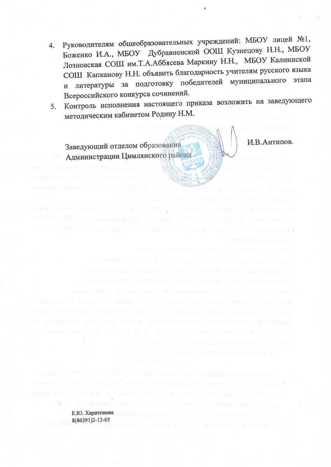- Руководителям общеобразовательных учреждений: МБОУ лицей №1,  $4.$ Боженко И.А., МБОУ Дубравненской ООШ Кузнецову Н.Н., МБОУ Лозновская СОШ им.Т.А.Аббясева Маркину Н.Н., МБОУ Калиниской СОШ Капканову Н.Н. объявить благодарность учителям русского языка и литературы за подготовку победителей муниципального этапа Всероссийского конкурса сочинений.
- Контроль исполнения настоящего приказа возложить на заведующего 5. методическим кабинетом Родину Н.М.

Заведующий отделом образования Администрации Цимлянского района И.В.Антипов.

Е.Ю. Харитонова 8(86391)2-12-05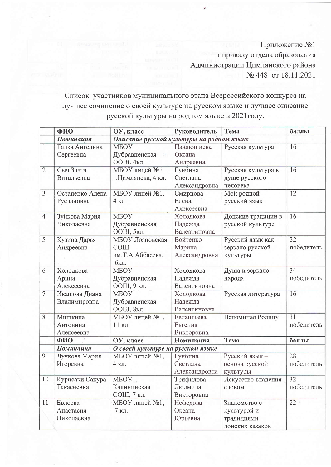Приложение №1 к приказу отдела образования Администрации Цимлянского района № 448 от 18.11.2021

Список участников муниципального этапа Всероссийского конкурса на лучшее сочинение о своей культуре на русском языке и лучшее описание русской культуры на родном языке в 2021 году.

|                | ФИО                                | ОУ, класс                                                   | Руководитель                         | Тема                                                         | баллы            |  |
|----------------|------------------------------------|-------------------------------------------------------------|--------------------------------------|--------------------------------------------------------------|------------------|--|
|                | <b>Номинация</b>                   | Описание русской культуры на родном языке                   |                                      |                                                              |                  |  |
| 1              | Галка Ангелина<br>Сергеевна        | МБОУ<br>Дубравненская<br>ООШ, 4кл.                          | Павлюшнева<br>Оксана<br>Андреевна    | Русская культура                                             | 16               |  |
| $\overline{2}$ | Сыч Злата<br>Витальевна            | МБОУ лицей №1<br>г.Цимлянска, 4 кл.                         | Гунбина<br>Светлана<br>Александровна | 16<br>Русская культура в<br>душе русского<br>человека        |                  |  |
| $\overline{3}$ | Остапенко Алена<br>Руслановна      | МБОУ лицей №1,<br>$4K\pi$                                   | Смирнова<br>Елена<br>Алексеевна      | Мой родной<br>русский язык                                   | 12               |  |
| $\overline{4}$ | Зуйкова Мария<br>Николаевна        | МБОУ<br>Дубравненская<br>ООШ, 5кл.                          | Холодкова<br>Надежда<br>Валентиновна | Донские традиции в<br>русской культуре                       | 16               |  |
| 5              | Кузина Дарья<br>Андреевна          | МБОУ Лозновская<br><b>COIII</b><br>им.Т.А.Аббясева,<br>6кл. | Войтенко<br>Марина<br>Александровна  | Русский язык как<br>зеркало русской<br>культуры              | 32<br>победитель |  |
| 6              | Холодкова<br>Арина<br>Алексеевна   | МБОУ<br>Дубравненская<br>ООШ, 9 кл.                         | Холодкова<br>Надежда<br>Валентиновна | Душа и зеркало<br>народа                                     | 34<br>победитель |  |
| $\overline{7}$ | Ивашова Диана<br>Владимировна      | МБОУ<br>Дубравненская<br>ООШ, 8кл.                          | Холодкова<br>Надежда<br>Валентиновна | Русская литература                                           | 16               |  |
| 8              | Мишкина<br>Антонина<br>Алексеевна  | МБОУ лицей №1,<br>11 кл                                     | Евлантьева<br>Евгения<br>Викторовна  | Вспоминая Родину                                             | 31<br>победитель |  |
|                | ФИО                                | ОУ, класс                                                   | Номинация                            | Тема                                                         | баллы            |  |
|                | <b>Номинация</b>                   | О своей культуре на русском языке                           |                                      |                                                              |                  |  |
| 9              | Лучкова Мария<br>Игоревна          | МБОУ лицей №1,<br>4 кл.                                     | Гунбина<br>Светлана<br>Александровна | Русский язык -<br>основа русской<br>культуры                 | 28<br>победитель |  |
| 10             | Курисаки Сакура<br>Такасиевна      | MBOY <sub>5</sub><br>Калининская<br>СОШ, 7 кл.              | Трифилова<br>Людмила<br>Викторовна   | Искусство владения<br>словом                                 | 32<br>победитель |  |
| 11             | Евлоева<br>Анастасия<br>Николаевна | МБОУ лицей №1,<br>7 кл.                                     | Нефедова<br>Оксана<br>Юрьевна        | Знакомство с<br>культурой и<br>традициями<br>донских казаков | 22               |  |